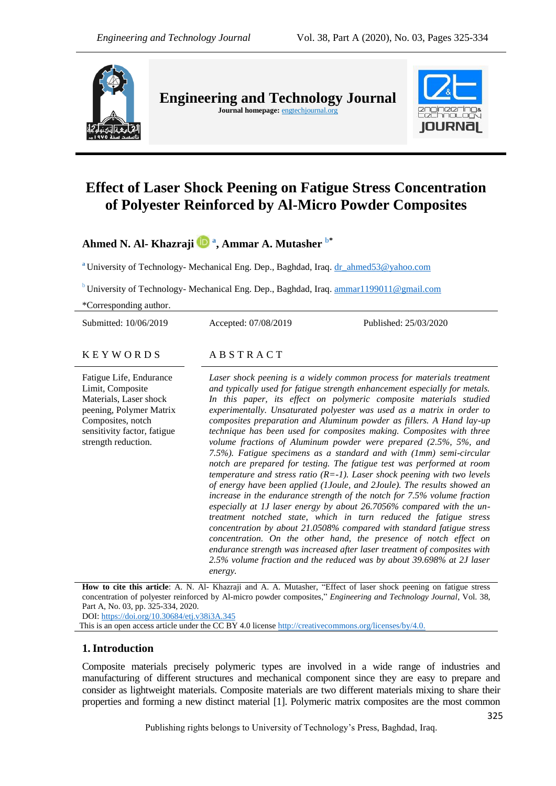

**Engineering and Technology Journal Journal homepage:** engtechjournal.org



# **Effect of Laser Shock Peening on Fatigue Stress Concentration of Polyester Reinforced by Al-Micro Powder Composites**

**Ahmed N. Al- Khazraji <sup>a</sup> , Ammar A. Mutasher b\***

**<sup>a</sup>** University of Technology- Mechanical Eng. Dep., Baghdad, Iraq. [dr\\_ahmed53@yahoo.com](mailto:dr_ahmed53@yahoo.com)

<sup>b</sup> University of Technology- Mechanical Eng. Dep., Baghdad, Iraq. ammar $1199011@gmail.com$ 

\*Corresponding author.

Submitted: 10/06/2019 Accepted: 07/08/2019 Published: 25/03/2020

#### $K E Y W O R D S$   $AB S T R A C T$

Fatigue Life, Endurance Limit, Composite Materials, Laser shock peening, Polymer Matrix Composites, notch sensitivity factor, fatigue strength reduction.

Laser shock peening is a widely common process for materials treatment *and typically used for fatigue strength enhancement especially for metals. In this paper, its effect on polymeric composite materials studied experimentally. Unsaturated polyester was used as a matrix in order to composites preparation and Aluminum powder as fillers. A Hand lay-up technique has been used for composites making. Composites with three volume fractions of Aluminum powder were prepared (2.5%, 5%, and 7.5%). Fatigue specimens as a standard and with (1mm) semi-circular notch are prepared for testing. The fatigue test was performed at room temperature and stress ratio (R=-1). Laser shock peening with two levels of energy have been applied (1Joule, and 2Joule). The results showed an increase in the endurance strength of the notch for 7.5% volume fraction especially at 1J laser energy by about 26.7056% compared with the untreatment notched state, which in turn reduced the fatigue stress concentration by about 21.0508% compared with standard fatigue stress concentration. On the other hand, the presence of notch effect on endurance strength was increased after laser treatment of composites with 2.5% volume fraction and the reduced was by about 39.698% at 2J laser energy.*

**How to cite this article**: A. N. Al- Khazraji and A. A. Mutasher, "Effect of laser shock peening on fatigue stress concentration of polyester reinforced by Al-micro powder composites," *Engineering and Technology Journal*, Vol. 38, Part A, No. 03, pp. 325-334, 2020. DOI: <https://doi.org/10.30684/etj.v38i3A.345>

This is an open access article under the CC BY 4.0 licens[e http://creativecommons.org/licenses/by/4.0.](http://creativecommons.org/licenses/by/4.0)

# **1.Introduction**

Composite materials precisely polymeric types are involved in a wide range of industries and manufacturing of different structures and mechanical component since they are easy to prepare and consider as lightweight materials. Composite materials are two different materials mixing to share their properties and forming a new distinct material [1]. Polymeric matrix composites are the most common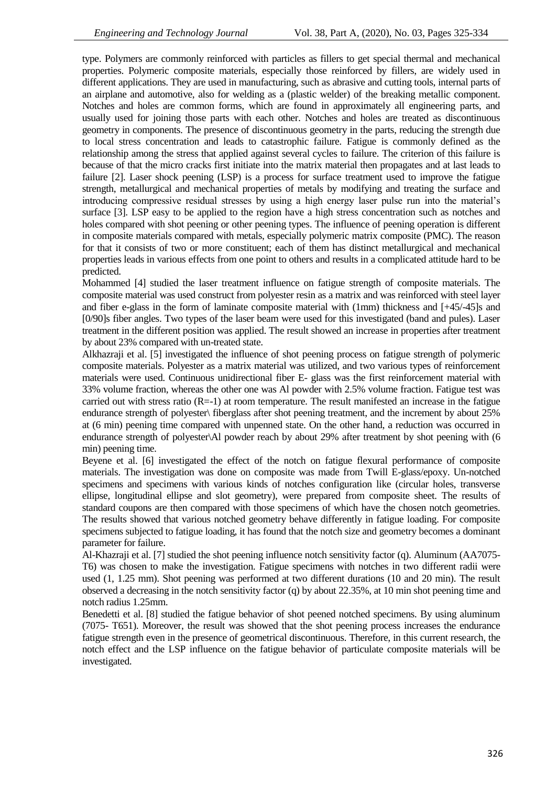type. Polymers are commonly reinforced with particles as fillers to get special thermal and mechanical properties. Polymeric composite materials, especially those reinforced by fillers, are widely used in different applications. They are used in manufacturing, such as abrasive and cutting tools, internal parts of an airplane and automotive, also for welding as a (plastic welder) of the breaking metallic component. Notches and holes are common forms, which are found in approximately all engineering parts, and usually used for joining those parts with each other. Notches and holes are treated as discontinuous geometry in components. The presence of discontinuous geometry in the parts, reducing the strength due to local stress concentration and leads to catastrophic failure. Fatigue is commonly defined as the relationship among the stress that applied against several cycles to failure. The criterion of this failure is because of that the micro cracks first initiate into the matrix material then propagates and at last leads to failure [2]. Laser shock peening (LSP) is a process for surface treatment used to improve the fatigue strength, metallurgical and mechanical properties of metals by modifying and treating the surface and introducing compressive residual stresses by using a high energy laser pulse run into the material's surface [3]. LSP easy to be applied to the region have a high stress concentration such as notches and holes compared with shot peening or other peening types. The influence of peening operation is different in composite materials compared with metals, especially polymeric matrix composite (PMC). The reason for that it consists of two or more constituent; each of them has distinct metallurgical and mechanical properties leads in various effects from one point to others and results in a complicated attitude hard to be predicted.

Mohammed [4] studied the laser treatment influence on fatigue strength of composite materials. The composite material was used construct from polyester resin as a matrix and was reinforced with steel layer and fiber e-glass in the form of laminate composite material with (1mm) thickness and [+45/-45]s and [0/90]s fiber angles. Two types of the laser beam were used for this investigated (band and pules). Laser treatment in the different position was applied. The result showed an increase in properties after treatment by about 23% compared with un-treated state.

Alkhazraji et al. [5] investigated the influence of shot peening process on fatigue strength of polymeric composite materials. Polyester as a matrix material was utilized, and two various types of reinforcement materials were used. Continuous unidirectional fiber E- glass was the first reinforcement material with 33% volume fraction, whereas the other one was Al powder with 2.5% volume fraction. Fatigue test was carried out with stress ratio  $(R=1)$  at room temperature. The result manifested an increase in the fatigue endurance strength of polyester\ fiberglass after shot peening treatment, and the increment by about 25% at (6 min) peening time compared with unpenned state. On the other hand, a reduction was occurred in endurance strength of polyester\Al powder reach by about 29% after treatment by shot peening with (6 min) peening time.

Beyene et al. [6] investigated the effect of the notch on fatigue flexural performance of composite materials. The investigation was done on composite was made from Twill E-glass/epoxy. Un-notched specimens and specimens with various kinds of notches configuration like (circular holes, transverse ellipse, longitudinal ellipse and slot geometry), were prepared from composite sheet. The results of standard coupons are then compared with those specimens of which have the chosen notch geometries. The results showed that various notched geometry behave differently in fatigue loading. For composite specimens subjected to fatigue loading, it has found that the notch size and geometry becomes a dominant parameter for failure.

Al-Khazraji et al. [7] studied the shot peening influence notch sensitivity factor (q). Aluminum (AA7075- T6) was chosen to make the investigation. Fatigue specimens with notches in two different radii were used (1, 1.25 mm). Shot peening was performed at two different durations (10 and 20 min). The result observed a decreasing in the notch sensitivity factor (q) by about 22.35%, at 10 min shot peening time and notch radius 1.25mm.

Benedetti et al. [8] studied the fatigue behavior of shot peened notched specimens. By using aluminum (7075- T651). Moreover, the result was showed that the shot peening process increases the endurance fatigue strength even in the presence of geometrical discontinuous. Therefore, in this current research, the notch effect and the LSP influence on the fatigue behavior of particulate composite materials will be investigated.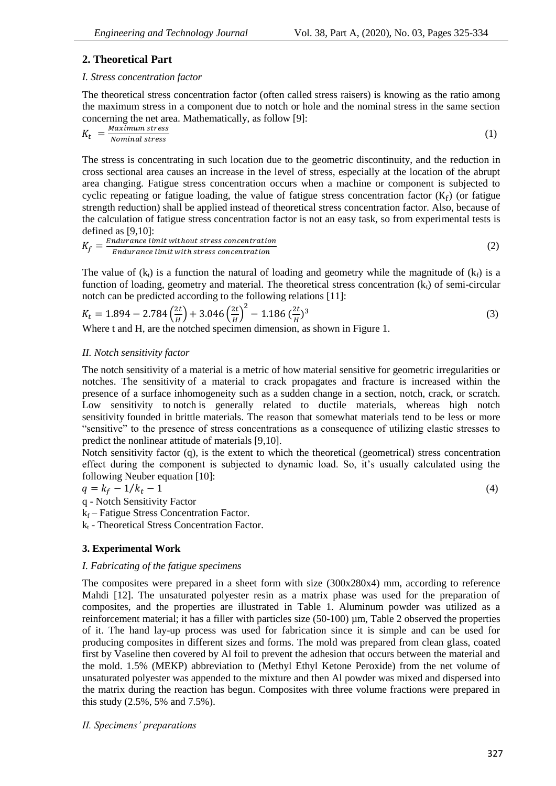# **2. Theoretical Part**

## *I. Stress concentration factor*

The theoretical stress concentration factor (often called stress raisers) is knowing as the ratio among the maximum stress in a component due to notch or hole and the nominal stress in the same section concerning the net area. Mathematically, as follow [9]:

$$
K_t = \frac{Maximum stress}{Nominal stress}
$$
 (1)

The stress is concentrating in such location due to the geometric discontinuity, and the reduction in cross sectional area causes an increase in the level of stress, especially at the location of the abrupt area changing. Fatigue stress concentration occurs when a machine or component is subjected to cyclic repeating or fatigue loading, the value of fatigue stress concentration factor  $(K_f)$  (or fatigue strength reduction) shall be applied instead of theoretical stress concentration factor. Also, because of the calculation of fatigue stress concentration factor is not an easy task, so from experimental tests is defined as [9,10]:

$$
K_f = \frac{Endurance limit without stress concentration}{Endurance limit with stress concentration}
$$
\n(2)

The value of (k<sub>t</sub>) is a function the natural of loading and geometry while the magnitude of (k<sub>t</sub>) is a function of loading, geometry and material. The theoretical stress concentration  $(k<sub>t</sub>)$  of semi-circular notch can be predicted according to the following relations [11]:

$$
K_t = 1.894 - 2.784 \left(\frac{2t}{H}\right) + 3.046 \left(\frac{2t}{H}\right)^2 - 1.186 \left(\frac{2t}{H}\right)^3
$$
\nWhere t and H are the noted specimen dimension as shown in Figure 1

Where t and H, are the notched specimen dimension, as shown in Figure 1.

# *II. Notch sensitivity factor*

The notch sensitivity of a material is a metric of how material sensitive for geometric irregularities or notches. The sensitivity of a material to crack propagates and fracture is increased within the presence of a surface inhomogeneity such as a sudden change in a section, notch, crack, or scratch. Low sensitivity to notch is generally related to ductile materials, whereas high notch sensitivity founded in brittle materials. The reason that somewhat materials tend to be less or more "sensitive" to the presence of stress concentrations as a consequence of utilizing elastic stresses to predict the nonlinear attitude of materials [9,10].

Notch sensitivity factor (q), is the extent to which the theoretical (geometrical) stress concentration effect during the component is subjected to dynamic load. So, it's usually calculated using the following Neuber equation [10]:

$$
q = k_f - 1/k_t - 1 \tag{4}
$$

q - Notch Sensitivity Factor

 $k_f$  – Fatigue Stress Concentration Factor.

k<sub>t</sub> - Theoretical Stress Concentration Factor.

# **3. Experimental Work**

# *I. Fabricating of the fatigue specimens*

The composites were prepared in a sheet form with size (300x280x4) mm, according to reference Mahdi [12]. The unsaturated polyester resin as a matrix phase was used for the preparation of composites, and the properties are illustrated in Table 1. Aluminum powder was utilized as a reinforcement material; it has a filler with particles size (50-100) µm, Table 2 observed the properties of it. The hand lay-up process was used for fabrication since it is simple and can be used for producing composites in different sizes and forms. The mold was prepared from clean glass, coated first by Vaseline then covered by Al foil to prevent the adhesion that occurs between the material and the mold. 1.5% (MEKP) abbreviation to (Methyl Ethyl Ketone Peroxide) from the net volume of unsaturated polyester was appended to the mixture and then Al powder was mixed and dispersed into the matrix during the reaction has begun. Composites with three volume fractions were prepared in this study (2.5%, 5% and 7.5%).

*II. Specimens' preparations*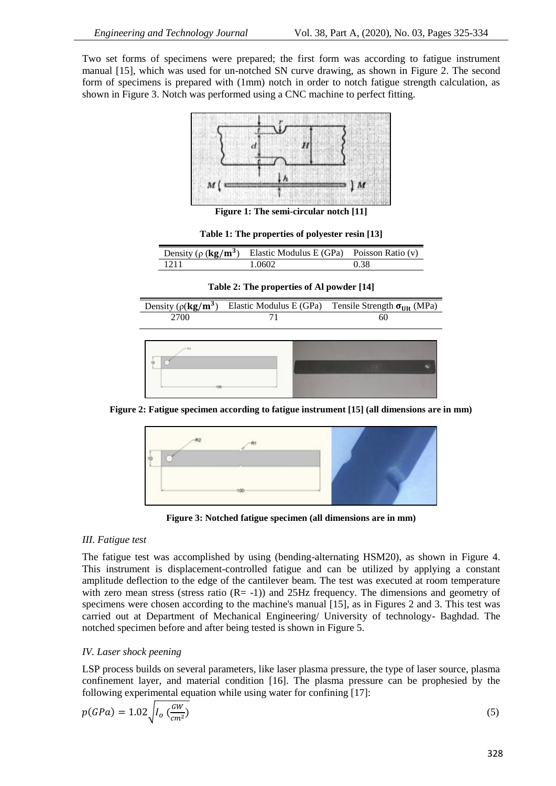Two set forms of specimens were prepared; the first form was according to fatigue instrument manual [15], which was used for un-notched SN curve drawing, as shown in Figure 2. The second form of specimens is prepared with (1mm) notch in order to notch fatigue strength calculation, as shown in Figure 3. Notch was performed using a CNC machine to perfect fitting.



**Figure 1: The semi-circular notch [11]**

|  |  | Table 1: The properties of polyester resin [13] |  |  |
|--|--|-------------------------------------------------|--|--|
|--|--|-------------------------------------------------|--|--|

| Density ( $\rho$ ( <b>kg/m<sup>3</sup>)</b> | Elastic Modulus E (GPa) Poisson Ratio (v) |      |
|---------------------------------------------|-------------------------------------------|------|
| 1211                                        | 1 0602                                    | 0.38 |

**Table 2: The properties of Al powder [14]**



**Figure 2: Fatigue specimen according to fatigue instrument [15] (all dimensions are in mm)**



**Figure 3: Notched fatigue specimen (all dimensions are in mm)**

#### *III. Fatigue test*

The fatigue test was accomplished by using (bending-alternating HSM20), as shown in Figure 4. This instrument is displacement-controlled fatigue and can be utilized by applying a constant amplitude deflection to the edge of the cantilever beam. The test was executed at room temperature with zero mean stress (stress ratio  $(R= -1)$ ) and 25Hz frequency. The dimensions and geometry of specimens were chosen according to the machine's manual [15], as in Figures 2 and 3. This test was carried out at Department of Mechanical Engineering/ University of technology- Baghdad. The notched specimen before and after being tested is shown in Figure 5.

#### *IV. Laser shock peening*

LSP process builds on several parameters, like laser plasma pressure, the type of laser source, plasma confinement layer, and material condition [16]. The plasma pressure can be prophesied by the following experimental equation while using water for confining [17]:

$$
p(GPa) = 1.02 \sqrt{I_0 \left(\frac{GW}{cm^2}\right)}\tag{5}
$$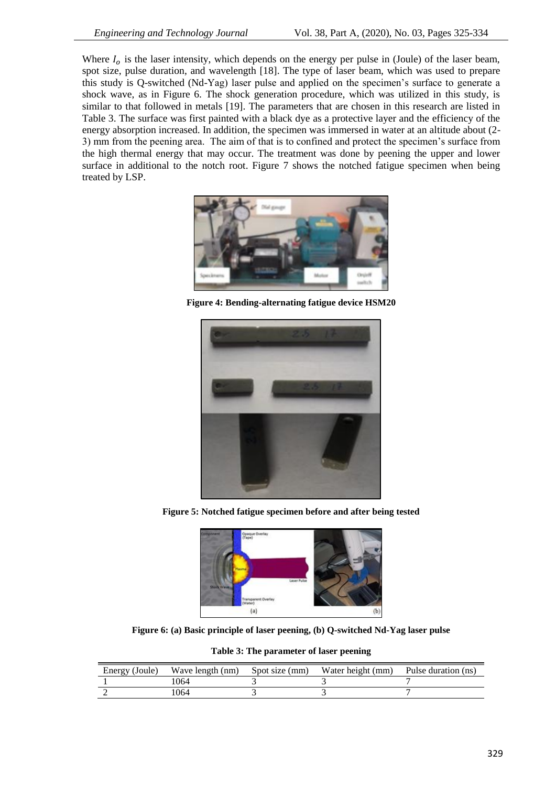Where  $I_0$  is the laser intensity, which depends on the energy per pulse in (Joule) of the laser beam, spot size, pulse duration, and wavelength [18]. The type of laser beam, which was used to prepare this study is Q-switched (Nd-Yag) laser pulse and applied on the specimen's surface to generate a shock wave, as in Figure 6. The shock generation procedure, which was utilized in this study, is similar to that followed in metals [19]. The parameters that are chosen in this research are listed in Table 3. The surface was first painted with a black dye as a protective layer and the efficiency of the energy absorption increased. In addition, the specimen was immersed in water at an altitude about (2- 3) mm from the peening area. The aim of that is to confined and protect the specimen's surface from the high thermal energy that may occur. The treatment was done by peening the upper and lower surface in additional to the notch root. Figure 7 shows the notched fatigue specimen when being treated by LSP.



**Figure 4: Bending-alternating fatigue device HSM20**



**Figure 5: Notched fatigue specimen before and after being tested**



**Figure 6: (a) Basic principle of laser peening, (b) Q-switched Nd-Yag laser pulse**

|  |  | Table 3: The parameter of laser peening |  |  |  |
|--|--|-----------------------------------------|--|--|--|
|--|--|-----------------------------------------|--|--|--|

| Energy (Joule) | Wave length (nm) | Spot size (mm) | Water height (mm) | Pulse duration (ns) |
|----------------|------------------|----------------|-------------------|---------------------|
|                | 064              |                |                   |                     |
|                | .064             |                |                   |                     |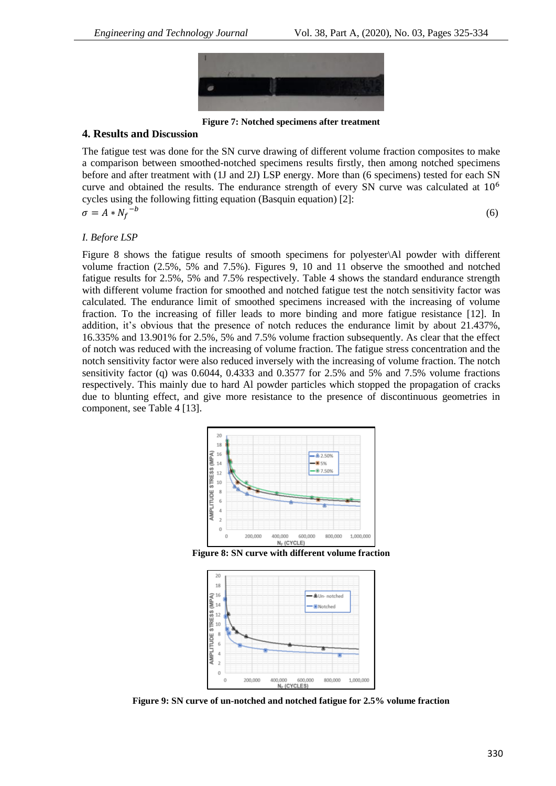

**Figure 7: Notched specimens after treatment**

#### **4. Results and Discussion**

The fatigue test was done for the SN curve drawing of different volume fraction composites to make a comparison between smoothed-notched specimens results firstly, then among notched specimens before and after treatment with (1J and 2J) LSP energy. More than (6 specimens) tested for each SN curve and obtained the results. The endurance strength of every SN curve was calculated at  $10<sup>6</sup>$ cycles using the following fitting equation (Basquin equation) [2]: (6)

$$
\sigma = A * N_f^-
$$

### *I. Before LSP*

Figure 8 shows the fatigue results of smooth specimens for polyester\Al powder with different volume fraction (2.5%, 5% and 7.5%). Figures 9, 10 and 11 observe the smoothed and notched fatigue results for 2.5%, 5% and 7.5% respectively. Table 4 shows the standard endurance strength with different volume fraction for smoothed and notched fatigue test the notch sensitivity factor was calculated. The endurance limit of smoothed specimens increased with the increasing of volume fraction. To the increasing of filler leads to more binding and more fatigue resistance [12]. In addition, it's obvious that the presence of notch reduces the endurance limit by about 21.437%, 16.335% and 13.901% for 2.5%, 5% and 7.5% volume fraction subsequently. As clear that the effect of notch was reduced with the increasing of volume fraction. The fatigue stress concentration and the notch sensitivity factor were also reduced inversely with the increasing of volume fraction. The notch sensitivity factor (q) was 0.6044, 0.4333 and 0.3577 for 2.5% and 5% and 7.5% volume fractions respectively. This mainly due to hard Al powder particles which stopped the propagation of cracks due to blunting effect, and give more resistance to the presence of discontinuous geometries in component, see Table 4 [13].



**Figure 8: SN curve with different volume fraction**



**Figure 9: SN curve of un-notched and notched fatigue for 2.5% volume fraction**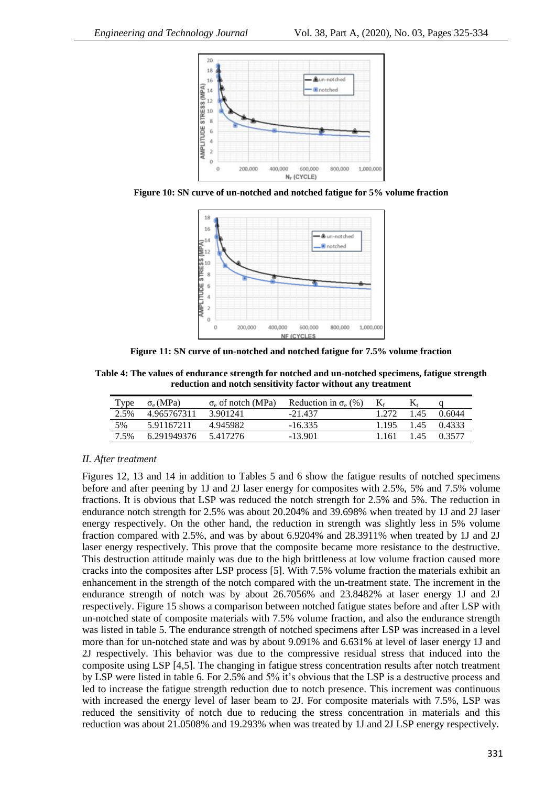

**Figure 10: SN curve of un-notched and notched fatigue for 5% volume fraction**



**Figure 11: SN curve of un-notched and notched fatigue for 7.5% volume fraction**

**Table 4: The values of endurance strength for notched and un-notched specimens, fatigue strength reduction and notch sensitivity factor without any treatment**

| Type | $\sigma_e(MPa)$ | $\sigma_e$ of notch (MPa) | Reduction in $\sigma_e$ (%) | $K_f$   |      |        |
|------|-----------------|---------------------------|-----------------------------|---------|------|--------|
| 2.5% | 4965767311      | 3.901241                  | $-21437$                    | 1 272   | 1.45 | 0.6044 |
| 5%   | 591167211       | 4.945982                  | $-16.335$                   | 1 1 9 5 | 1.45 | 0.4333 |
| 7.5% | 6.291949376     | 5.417276                  | $-13901$                    | 1 161   | 145  | 0.3577 |

#### *II. After treatment*

Figures 12, 13 and 14 in addition to Tables 5 and 6 show the fatigue results of notched specimens before and after peening by 1J and 2J laser energy for composites with 2.5%, 5% and 7.5% volume fractions. It is obvious that LSP was reduced the notch strength for 2.5% and 5%. The reduction in endurance notch strength for 2.5% was about 20.204% and 39.698% when treated by 1J and 2J laser energy respectively. On the other hand, the reduction in strength was slightly less in 5% volume fraction compared with 2.5%, and was by about 6.9204% and 28.3911% when treated by 1J and 2J laser energy respectively. This prove that the composite became more resistance to the destructive. This destruction attitude mainly was due to the high brittleness at low volume fraction caused more cracks into the composites after LSP process [5]. With 7.5% volume fraction the materials exhibit an enhancement in the strength of the notch compared with the un-treatment state. The increment in the endurance strength of notch was by about 26.7056% and 23.8482% at laser energy 1J and 2J respectively. Figure 15 shows a comparison between notched fatigue states before and after LSP with un-notched state of composite materials with 7.5% volume fraction, and also the endurance strength was listed in table 5. The endurance strength of notched specimens after LSP was increased in a level more than for un-notched state and was by about 9.091% and 6.631% at level of laser energy 1J and 2J respectively. This behavior was due to the compressive residual stress that induced into the composite using LSP [4,5]. The changing in fatigue stress concentration results after notch treatment by LSP were listed in table 6. For 2.5% and 5% it's obvious that the LSP is a destructive process and led to increase the fatigue strength reduction due to notch presence. This increment was continuous with increased the energy level of laser beam to 2J. For composite materials with 7.5%, LSP was reduced the sensitivity of notch due to reducing the stress concentration in materials and this reduction was about 21.0508% and 19.293% when was treated by 1J and 2J LSP energy respectively.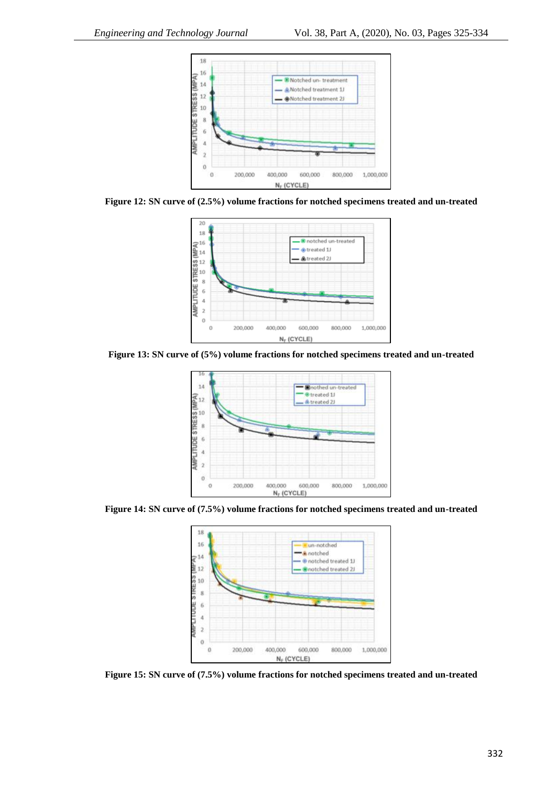

**Figure 12: SN curve of (2.5%) volume fractions for notched specimens treated and un-treated**



**Figure 13: SN curve of (5%) volume fractions for notched specimens treated and un-treated**



**Figure 14: SN curve of (7.5%) volume fractions for notched specimens treated and un-treated**



**Figure 15: SN curve of (7.5%) volume fractions for notched specimens treated and un-treated**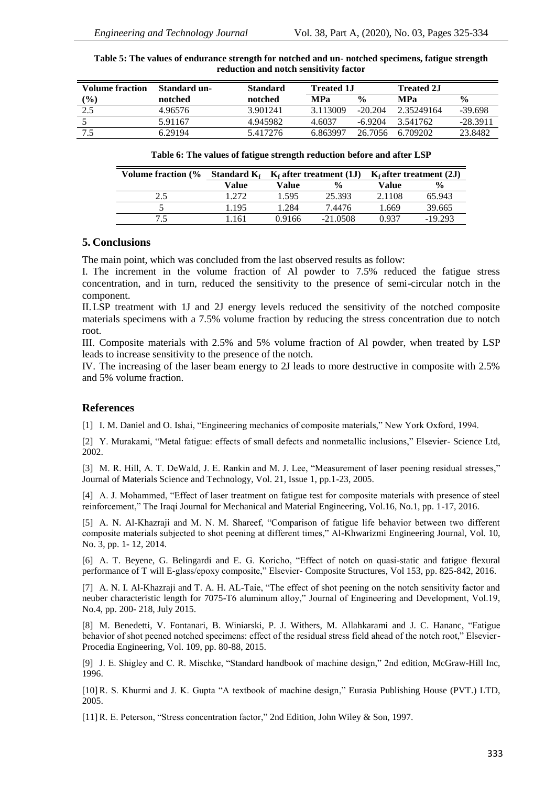| Volume fraction     | Standard un- | <b>Standard</b> | <b>Treated 1J</b> |               | <b>Treated 2.I</b> |               |
|---------------------|--------------|-----------------|-------------------|---------------|--------------------|---------------|
| $\frac{(\%)}{(\%)}$ | notched      | notched         | <b>MP</b> a       | $\frac{0}{0}$ | <b>MPa</b>         | $\frac{0}{0}$ |
| 2.5                 | 4.96576      | 3.901241        | 3.113009          | $-20.204$     | 2.35249164         | $-39.698$     |
|                     | 5.91167      | 4.945982        | 4.6037            | $-6.9204$     | 3.541762           | $-28.3911$    |
|                     | 6.29194      | 5.417276        | 6.863997          | 26.7056       | 6.709202           | 23.8482       |

**Table 5: The values of endurance strength for notched and un- notched specimens, fatigue strength reduction and notch sensitivity factor**

#### **Table 6: The values of fatigue strength reduction before and after LSP**

| <b>Volume fraction (%</b> | Standard $K_f$ | $K_f$ after treatment (1J) |               |        |               |  | $Kf$ after treatment (2J) |
|---------------------------|----------------|----------------------------|---------------|--------|---------------|--|---------------------------|
|                           | Value          | Value                      | $\frac{0}{0}$ | Value  | $\frac{0}{0}$ |  |                           |
| 2.5                       | 1272           | 1.595                      | 25.393        | 2.1108 | 65.943        |  |                           |
|                           | 1.195          | 1.284                      | 7.4476        | 1.669  | 39.665        |  |                           |
| 75                        | -161           | 0.9166                     | $-21.0508$    | 0.937  | $-19.293$     |  |                           |

### **5. Conclusions**

The main point, which was concluded from the last observed results as follow:

I. The increment in the volume fraction of Al powder to 7.5% reduced the fatigue stress concentration, and in turn, reduced the sensitivity to the presence of semi-circular notch in the component.

II.LSP treatment with 1J and 2J energy levels reduced the sensitivity of the notched composite materials specimens with a 7.5% volume fraction by reducing the stress concentration due to notch root.

III. Composite materials with 2.5% and 5% volume fraction of Al powder, when treated by LSP leads to increase sensitivity to the presence of the notch.

IV. The increasing of the laser beam energy to 2J leads to more destructive in composite with 2.5% and 5% volume fraction.

#### **References**

[1] I. M. Daniel and O. Ishai, "Engineering mechanics of composite materials," New York Oxford, 1994.

[2] Y. Murakami, "Metal fatigue: effects of small defects and nonmetallic inclusions," Elsevier- Science Ltd, 2002.

[3] M. R. Hill, A. T. DeWald, J. E. Rankin and M. J. Lee, "Measurement of laser peening residual stresses," Journal of Materials Science and Technology, Vol. 21, Issue 1, pp.1-23, 2005.

[4] A. J. Mohammed, "Effect of laser treatment on fatigue test for composite materials with presence of steel reinforcement," The Iraqi Journal for Mechanical and Material Engineering, Vol.16, No.1, pp. 1-17, 2016.

[5] A. N. Al-Khazraji and M. N. M. Shareef, "Comparison of fatigue life behavior between two different composite materials subjected to shot peening at different times," Al-Khwarizmi Engineering Journal, Vol. 10, No. 3, pp. 1- 12, 2014.

[6] A. T. Beyene, G. Belingardi and E. G. Koricho, "Effect of notch on quasi-static and fatigue flexural performance of T will E-glass/epoxy composite," Elsevier- Composite Structures, Vol 153, pp. 825-842, 2016.

[7] A. N. I. Al-Khazraji and T. A. H. AL-Taie, "The effect of shot peening on the notch sensitivity factor and neuber characteristic length for 7075-T6 aluminum alloy," Journal of Engineering and Development, Vol.19, No.4, pp. 200- 218, July 2015.

[8] M. Benedetti, V. Fontanari, B. Winiarski, [P. J. Withers,](https://www.sciencedirect.com/science/article/pii/S1877705815011728#!) M. Allahkarami and [J. C. Hananc,](https://www.sciencedirect.com/science/article/pii/S1877705815011728#!) "Fatigue behavior of shot peened notched specimens: effect of the residual stress field ahead of the notch root," Elsevier-Procedia Engineering, Vol. 109, pp. 80-88, 2015.

[9] J. E. Shigley and C. R. Mischke, "Standard handbook of machine design," 2nd edition, McGraw-Hill Inc, 1996.

[10] R. S. Khurmi and J. K. Gupta "A textbook of machine design," Eurasia Publishing House (PVT.) LTD, 2005.

[11] R. E. Peterson, "Stress concentration factor," 2nd Edition, John Wiley & Son, 1997.